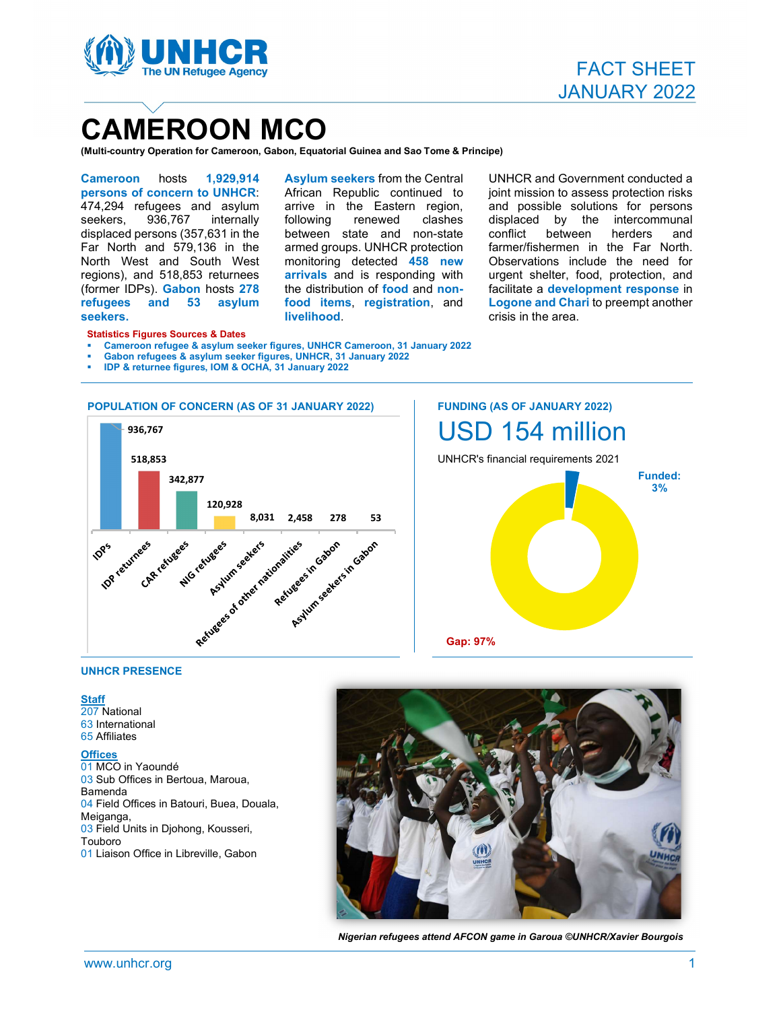

# CAMEROON MCO

(Multi-country Operation for Cameroon, Gabon, Equatorial Guinea and Sao Tome & Principe)<br>
Cameroon hosts 1,929,914 Asvium seekers from the Central UN

persons of concern to UNHCR: 474,294 refugees and asylum<br>seekers. 936.767 internally seekers, 936,767 internally following renewed displaced persons (357,631 in the Far North and 579,136 in the North West and South West monitoring detected 458 new regions), and 518,853 returnees (former IDPs). Gabon hosts 278 the distribution of food and nonrefugees and 53 asylum seekers.

Asylum seekers from the Central African Republic continued to arrive in the Eastern region, armed groups. UNHCR protection arrivals and is responding with food items, registration, and livelihood.

following renewed clashes displaced by the intercommunal between state and non-state conflict between herders and armediaroups. UNHCR protection farmer/fishermen in the Far North. armed groups. UNHCR protection farmer/fishermen in the Far North.<br>monitoring detected <mark>458 new</mark> Observations include the need for UNHCR and Government conducted a joint mission to assess protection risks and possible solutions for persons between herders and urgent shelter, food, protection, and facilitate a development response in Logone and Chari to preempt another crisis in the area.

#### Statistics Figures Sources & Dates

- Cameroon refugee & asylum seeker figures, UNHCR Cameroon, 31 January 2022
- Gabon refugees & asylum seeker figures, UNHCR, 31 January 2022
- IDP & returnee figures, IOM & OCHA, 31 January 2022



 FUNDING (AS OF JANUARY 2022) USD 154 million



#### UNHCR PRESENCE

Staff<br>207 National 63 International 65 Affiliates

#### **Offices**

01 MCO in Yaoundé 03 Sub Offices in Bertoua, Maroua, Bamenda 04 Field Offices in Batouri, Buea, Douala, Meiganga, 03 Field Units in Djohong, Kousseri, Touboro 01 Liaison Office in Libreville, Gabon



Nigerian refugees attend AFCON game in Garoua ©UNHCR/Xavier Bourgois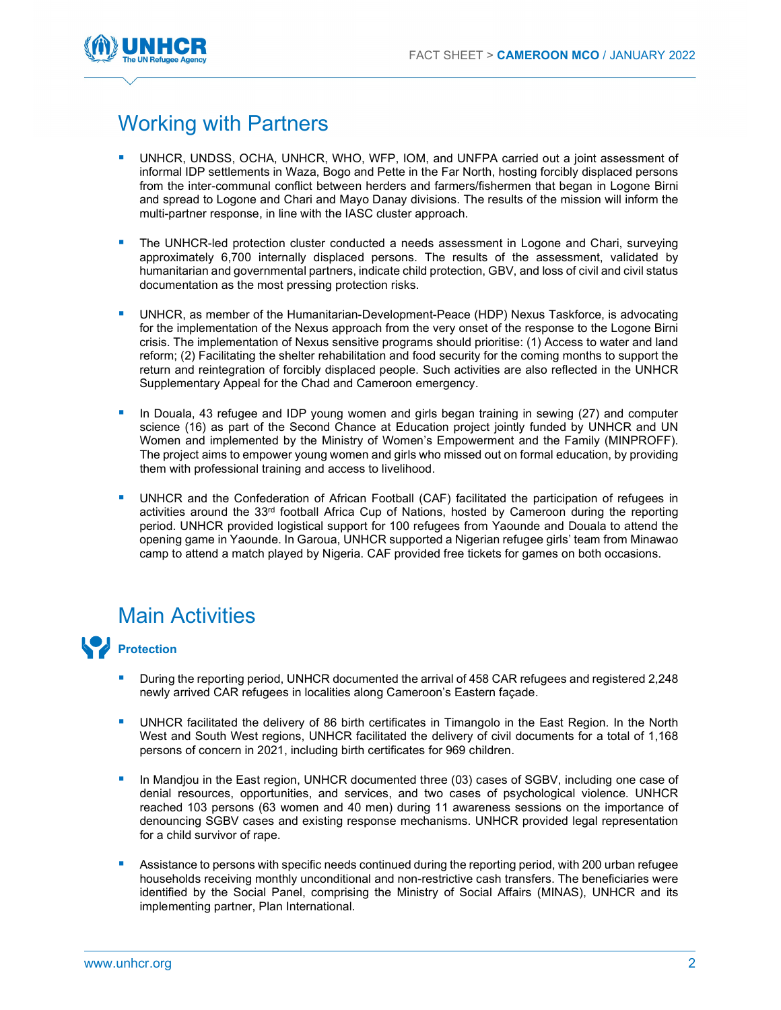

## Working with Partners

- UNHCR, UNDSS, OCHA, UNHCR, WHO, WFP, IOM, and UNFPA carried out a joint assessment of informal IDP settlements in Waza, Bogo and Pette in the Far North, hosting forcibly displaced persons from the inter-communal conflict between herders and farmers/fishermen that began in Logone Birni and spread to Logone and Chari and Mayo Danay divisions. The results of the mission will inform the multi-partner response, in line with the IASC cluster approach.
- The UNHCR-led protection cluster conducted a needs assessment in Logone and Chari, surveying approximately 6,700 internally displaced persons. The results of the assessment, validated by humanitarian and governmental partners, indicate child protection, GBV, and loss of civil and civil status documentation as the most pressing protection risks.
- UNHCR, as member of the Humanitarian-Development-Peace (HDP) Nexus Taskforce, is advocating for the implementation of the Nexus approach from the very onset of the response to the Logone Birni crisis. The implementation of Nexus sensitive programs should prioritise: (1) Access to water and land reform; (2) Facilitating the shelter rehabilitation and food security for the coming months to support the return and reintegration of forcibly displaced people. Such activities are also reflected in the UNHCR Supplementary Appeal for the Chad and Cameroon emergency.
- **In Douala, 43 refugee and IDP young women and girls began training in sewing (27) and computer** science (16) as part of the Second Chance at Education project jointly funded by UNHCR and UN Women and implemented by the Ministry of Women's Empowerment and the Family (MINPROFF). The project aims to empower young women and girls who missed out on formal education, by providing them with professional training and access to livelihood.
- UNHCR and the Confederation of African Football (CAF) facilitated the participation of refugees in activities around the 33<sup>rd</sup> football Africa Cup of Nations, hosted by Cameroon during the reporting period. UNHCR provided logistical support for 100 refugees from Yaounde and Douala to attend the opening game in Yaounde. In Garoua, UNHCR supported a Nigerian refugee girls' team from Minawao camp to attend a match played by Nigeria. CAF provided free tickets for games on both occasions.

### Main Activities



- During the reporting period, UNHCR documented the arrival of 458 CAR refugees and registered 2,248 newly arrived CAR refugees in localities along Cameroon's Eastern façade.
- UNHCR facilitated the delivery of 86 birth certificates in Timangolo in the East Region. In the North West and South West regions, UNHCR facilitated the delivery of civil documents for a total of 1,168 persons of concern in 2021, including birth certificates for 969 children.
- In Mandjou in the East region, UNHCR documented three (03) cases of SGBV, including one case of denial resources, opportunities, and services, and two cases of psychological violence. UNHCR reached 103 persons (63 women and 40 men) during 11 awareness sessions on the importance of denouncing SGBV cases and existing response mechanisms. UNHCR provided legal representation for a child survivor of rape.
- Assistance to persons with specific needs continued during the reporting period, with 200 urban refugee households receiving monthly unconditional and non-restrictive cash transfers. The beneficiaries were identified by the Social Panel, comprising the Ministry of Social Affairs (MINAS), UNHCR and its implementing partner, Plan International.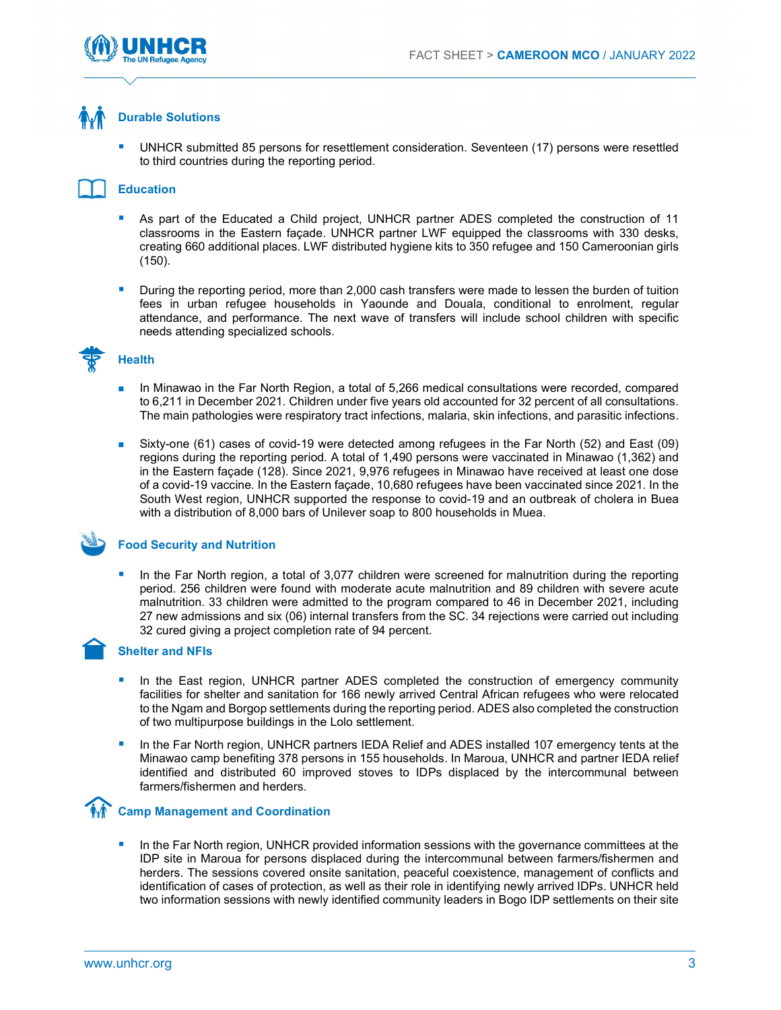

### Durable Solutions

 UNHCR submitted 85 persons for resettlement consideration. Seventeen (17) persons were resettled to third countries during the reporting period.

#### Education

- As part of the Educated a Child project, UNHCR partner ADES completed the construction of 11 classrooms in the Eastern façade. UNHCR partner LWF equipped the classrooms with 330 desks, creating 660 additional places. LWF distributed hygiene kits to 350 refugee and 150 Cameroonian girls (150).
- During the reporting period, more than 2,000 cash transfers were made to lessen the burden of tuition fees in urban refugee households in Yaounde and Douala, conditional to enrolment, regular attendance, and performance. The next wave of transfers will include school children with specific needs attending specialized schools.



#### **Health**

- In Minawao in the Far North Region, a total of 5,266 medical consultations were recorded, compared to 6,211 in December 2021. Children under five years old accounted for 32 percent of all consultations. The main pathologies were respiratory tract infections, malaria, skin infections, and parasitic infections.
- Sixty-one (61) cases of covid-19 were detected among refugees in the Far North (52) and East (09) regions during the reporting period. A total of 1,490 persons were vaccinated in Minawao (1,362) and in the Eastern façade (128). Since 2021, 9,976 refugees in Minawao have received at least one dose of a covid-19 vaccine. In the Eastern façade, 10,680 refugees have been vaccinated since 2021. In the South West region, UNHCR supported the response to covid-19 and an outbreak of cholera in Buea with a distribution of 8,000 bars of Unilever soap to 800 households in Muea.

#### Food Security and Nutrition

 In the Far North region, a total of 3,077 children were screened for malnutrition during the reporting period. 256 children were found with moderate acute malnutrition and 89 children with severe acute malnutrition. 33 children were admitted to the program compared to 46 in December 2021, including 27 new admissions and six (06) internal transfers from the SC. 34 rejections were carried out including 32 cured giving a project completion rate of 94 percent.

#### Shelter and NFIs

- In the East region, UNHCR partner ADES completed the construction of emergency community facilities for shelter and sanitation for 166 newly arrived Central African refugees who were relocated to the Ngam and Borgop settlements during the reporting period. ADES also completed the construction of two multipurpose buildings in the Lolo settlement.
- In the Far North region, UNHCR partners IEDA Relief and ADES installed 107 emergency tents at the Minawao camp benefiting 378 persons in 155 households. In Maroua, UNHCR and partner IEDA relief identified and distributed 60 improved stoves to IDPs displaced by the intercommunal between farmers/fishermen and herders.

### Camp Management and Coordination

 In the Far North region, UNHCR provided information sessions with the governance committees at the IDP site in Maroua for persons displaced during the intercommunal between farmers/fishermen and herders. The sessions covered onsite sanitation, peaceful coexistence, management of conflicts and identification of cases of protection, as well as their role in identifying newly arrived IDPs. UNHCR held two information sessions with newly identified community leaders in Bogo IDP settlements on their site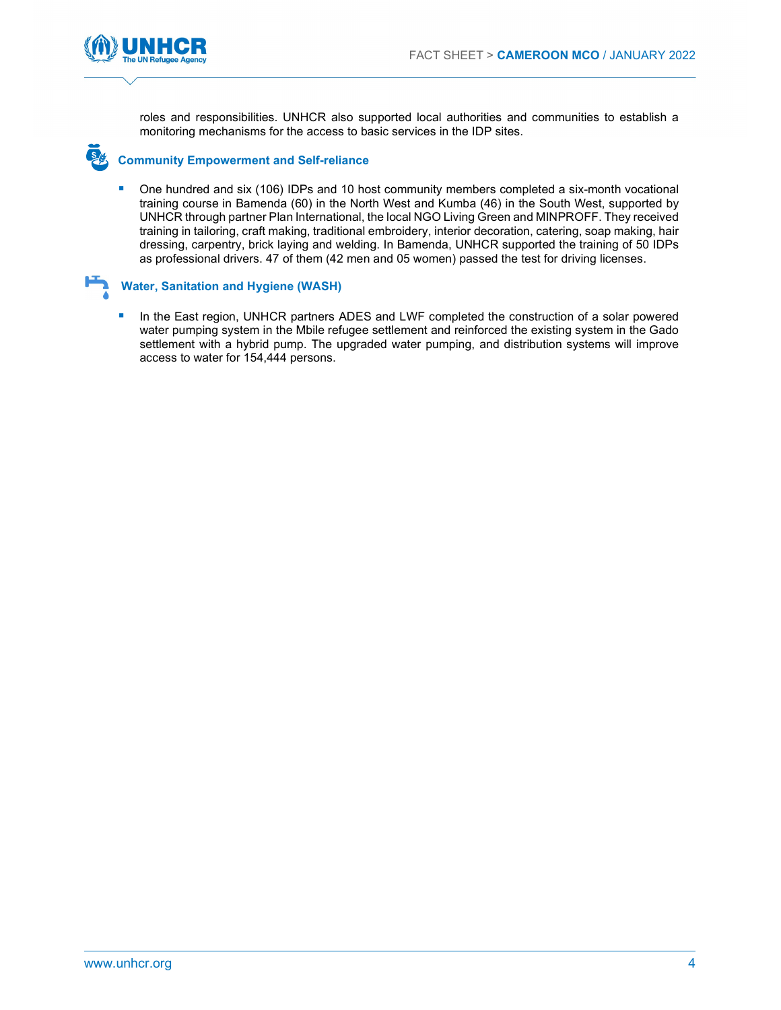

roles and responsibilities. UNHCR also supported local authorities and communities to establish a monitoring mechanisms for the access to basic services in the IDP sites.

#### Community Empowerment and Self-reliance

**•** One hundred and six (106) IDPs and 10 host community members completed a six-month vocational training course in Bamenda (60) in the North West and Kumba (46) in the South West, supported by UNHCR through partner Plan International, the local NGO Living Green and MINPROFF. They received training in tailoring, craft making, traditional embroidery, interior decoration, catering, soap making, hair dressing, carpentry, brick laying and welding. In Bamenda, UNHCR supported the training of 50 IDPs as professional drivers. 47 of them (42 men and 05 women) passed the test for driving licenses.



#### Water, Sanitation and Hygiene (WASH)

 In the East region, UNHCR partners ADES and LWF completed the construction of a solar powered water pumping system in the Mbile refugee settlement and reinforced the existing system in the Gado settlement with a hybrid pump. The upgraded water pumping, and distribution systems will improve access to water for 154,444 persons.